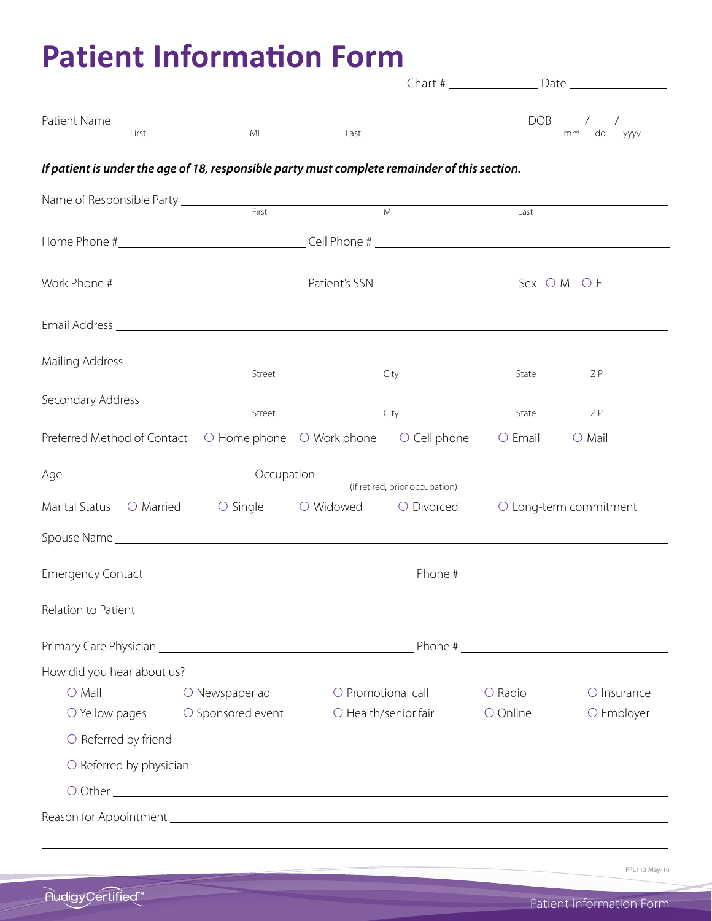# **Patient Information Form**

|                                                                                                  |                         |                                                        |                | Chart # Date           |                  |
|--------------------------------------------------------------------------------------------------|-------------------------|--------------------------------------------------------|----------------|------------------------|------------------|
|                                                                                                  |                         |                                                        |                |                        |                  |
|                                                                                                  | M <sub>l</sub>          |                                                        |                |                        |                  |
| First                                                                                            |                         | Last                                                   |                |                        | dd<br>уууу<br>mm |
| If patient is under the age of 18, responsible party must complete remainder of this section.    |                         |                                                        |                |                        |                  |
|                                                                                                  |                         |                                                        |                |                        |                  |
|                                                                                                  |                         |                                                        | M <sub>l</sub> | Last                   |                  |
|                                                                                                  |                         |                                                        |                |                        |                  |
|                                                                                                  |                         |                                                        |                |                        |                  |
|                                                                                                  |                         |                                                        |                |                        |                  |
|                                                                                                  |                         |                                                        |                |                        |                  |
|                                                                                                  |                         |                                                        |                |                        |                  |
|                                                                                                  |                         |                                                        |                |                        |                  |
| Street                                                                                           |                         | City                                                   |                | State                  | ZIP              |
| Secondary Address _________________                                                              |                         |                                                        |                |                        |                  |
|                                                                                                  | Street                  |                                                        | City           | State                  | ZIP              |
| Preferred Method of Contact<br>$\bigcirc$ Home phone $\bigcirc$ Work phone $\bigcirc$ Cell phone |                         |                                                        |                | $\circ$ Email          | $\bigcirc$ Mail  |
|                                                                                                  |                         |                                                        |                |                        |                  |
|                                                                                                  |                         |                                                        |                |                        |                  |
|                                                                                                  |                         | Marital Status O Married O Single O Widowed O Divorced |                | O Long-term commitment |                  |
|                                                                                                  |                         |                                                        |                |                        |                  |
|                                                                                                  |                         |                                                        |                |                        |                  |
|                                                                                                  |                         |                                                        |                |                        |                  |
|                                                                                                  |                         |                                                        |                |                        |                  |
|                                                                                                  |                         |                                                        |                |                        |                  |
|                                                                                                  |                         |                                                        |                |                        |                  |
|                                                                                                  |                         |                                                        |                |                        |                  |
| How did you hear about us?                                                                       |                         |                                                        |                |                        |                  |
| $O$ Mail                                                                                         | $\bigcirc$ Newspaper ad | $\bigcirc$ Promotional call                            |                | $\bigcirc$ Radio       | O Insurance      |
|                                                                                                  |                         | O Yellow pages O Sponsored event O Health/senior fair  |                | O Online               | O Employer       |
|                                                                                                  |                         |                                                        |                |                        |                  |
|                                                                                                  |                         |                                                        |                |                        |                  |
|                                                                                                  |                         |                                                        |                |                        |                  |
|                                                                                                  |                         |                                                        |                |                        |                  |
|                                                                                                  |                         |                                                        |                |                        |                  |
|                                                                                                  |                         |                                                        |                |                        |                  |

PFL113 May-16